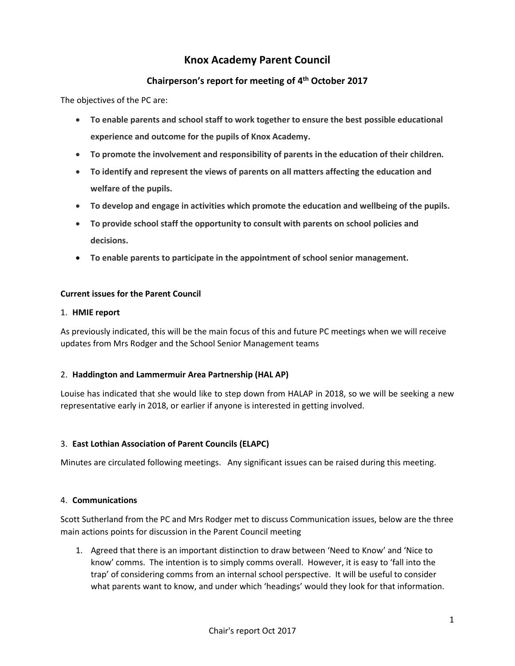# **Knox Academy Parent Council**

## **Chairperson's report for meeting of 4th October 2017**

The objectives of the PC are:

- **To enable parents and school staff to work together to ensure the best possible educational experience and outcome for the pupils of Knox Academy.**
- **To promote the involvement and responsibility of parents in the education of their children.**
- **To identify and represent the views of parents on all matters affecting the education and welfare of the pupils.**
- **To develop and engage in activities which promote the education and wellbeing of the pupils.**
- **To provide school staff the opportunity to consult with parents on school policies and decisions.**
- **To enable parents to participate in the appointment of school senior management.**

## **Current issues for the Parent Council**

#### 1. **HMIE report**

As previously indicated, this will be the main focus of this and future PC meetings when we will receive updates from Mrs Rodger and the School Senior Management teams

## 2. **Haddington and Lammermuir Area Partnership (HAL AP)**

Louise has indicated that she would like to step down from HALAP in 2018, so we will be seeking a new representative early in 2018, or earlier if anyone is interested in getting involved.

## 3. **East Lothian Association of Parent Councils (ELAPC)**

Minutes are circulated following meetings. Any significant issues can be raised during this meeting.

## 4. **Communications**

Scott Sutherland from the PC and Mrs Rodger met to discuss Communication issues, below are the three main actions points for discussion in the Parent Council meeting

1. Agreed that there is an important distinction to draw between 'Need to Know' and 'Nice to know' comms. The intention is to simply comms overall. However, it is easy to 'fall into the trap' of considering comms from an internal school perspective. It will be useful to consider what parents want to know, and under which 'headings' would they look for that information.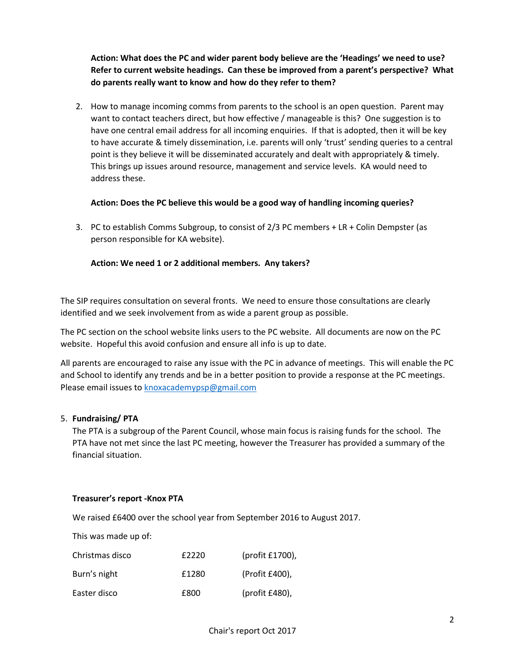**Action: What does the PC and wider parent body believe are the 'Headings' we need to use? Refer to current website headings. Can these be improved from a parent's perspective? What do parents really want to know and how do they refer to them?**

2. How to manage incoming comms from parents to the school is an open question. Parent may want to contact teachers direct, but how effective / manageable is this? One suggestion is to have one central email address for all incoming enquiries. If that is adopted, then it will be key to have accurate & timely dissemination, i.e. parents will only 'trust' sending queries to a central point is they believe it will be disseminated accurately and dealt with appropriately & timely. This brings up issues around resource, management and service levels. KA would need to address these.

## **Action: Does the PC believe this would be a good way of handling incoming queries?**

3. PC to establish Comms Subgroup, to consist of 2/3 PC members + LR + Colin Dempster (as person responsible for KA website).

## **Action: We need 1 or 2 additional members. Any takers?**

The SIP requires consultation on several fronts. We need to ensure those consultations are clearly identified and we seek involvement from as wide a parent group as possible.

The PC section on the school website links users to the PC website. All documents are now on the PC website. Hopeful this avoid confusion and ensure all info is up to date.

All parents are encouraged to raise any issue with the PC in advance of meetings. This will enable the PC and School to identify any trends and be in a better position to provide a response at the PC meetings. Please email issues to [knoxacademypsp@gmail.com](mailto:knoxacademypsp@gmail.com)

## 5. **Fundraising/ PTA**

The PTA is a subgroup of the Parent Council, whose main focus is raising funds for the school. The PTA have not met since the last PC meeting, however the Treasurer has provided a summary of the financial situation.

## **Treasurer's report -Knox PTA**

We raised £6400 over the school year from September 2016 to August 2017.

This was made up of:

| Christmas disco | £2220 | (profit $£1700$ ), |
|-----------------|-------|--------------------|
| Burn's night    | £1280 | (Profit £400),     |
| Easter disco    | £800  | (profit £480),     |